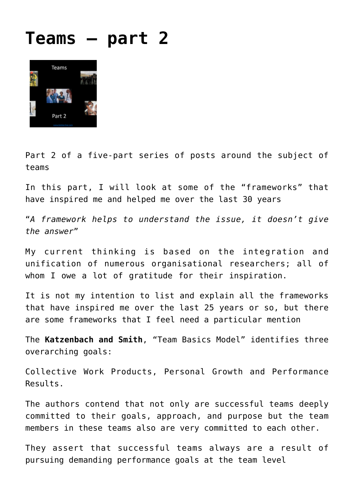## **[Teams – part 2](http://boblarcher.com/teams/teams-part-2/)**



Part 2 of a five-part series of posts around the subject of teams

In this part, I will look at some of the "frameworks" that have inspired me and helped me over the last 30 years

"*A framework helps to understand the issue, it doesn't give the answer*"

My current thinking is based on the integration and unification of numerous organisational researchers; all of whom I owe a lot of gratitude for their inspiration.

It is not my intention to list and explain all the frameworks that have inspired me over the last 25 years or so, but there are some frameworks that I feel need a particular mention

The **Katzenbach and Smith**, "Team Basics Model" identifies three overarching goals:

Collective Work Products, Personal Growth and Performance Results.

The authors contend that not only are successful teams deeply committed to their goals, approach, and purpose but the team members in these teams also are very committed to each other.

They assert that successful teams always are a result of pursuing demanding performance goals at the team level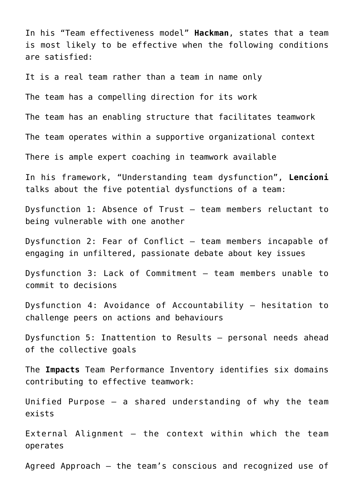In his "Team effectiveness model" **Hackman**, states that a team is most likely to be effective when the following conditions are satisfied:

It is a real team rather than a team in name only

The team has a compelling direction for its work

The team has an enabling structure that facilitates teamwork

The team operates within a supportive organizational context

There is ample expert coaching in teamwork available

In his framework, "Understanding team dysfunction", **Lencioni** talks about the five potential dysfunctions of a team:

Dysfunction 1: Absence of Trust – team members reluctant to being vulnerable with one another

Dysfunction 2: Fear of Conflict – team members incapable of engaging in unfiltered, passionate debate about key issues

Dysfunction 3: Lack of Commitment – team members unable to commit to decisions

Dysfunction 4: Avoidance of Accountability – hesitation to challenge peers on actions and behaviours

Dysfunction 5: Inattention to Results – personal needs ahead of the collective goals

The **Impacts** Team Performance Inventory identifies six domains contributing to effective teamwork:

Unified Purpose — a shared understanding of why the team exists

External Alignment — the context within which the team operates

Agreed Approach — the team's conscious and recognized use of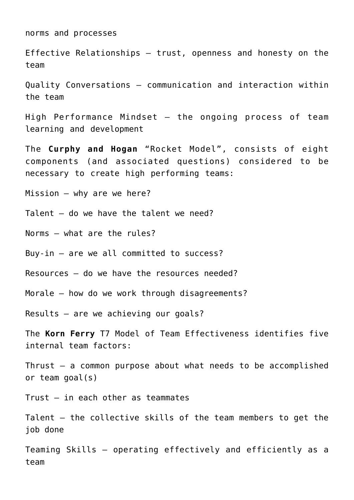norms and processes

Effective Relationships — trust, openness and honesty on the team

Quality Conversations — communication and interaction within the team

High Performance Mindset — the ongoing process of team learning and development

The **Curphy and Hogan** "Rocket Model", consists of eight components (and associated questions) considered to be necessary to create high performing teams:

Mission – why are we here?

Talent – do we have the talent we need?

Norms – what are the rules?

Buy-in – are we all committed to success?

Resources – do we have the resources needed?

Morale – how do we work through disagreements?

Results – are we achieving our goals?

The **Korn Ferry** T7 Model of Team Effectiveness identifies five internal team factors:

Thrust – a common purpose about what needs to be accomplished or team goal(s)

Trust – in each other as teammates

Talent – the collective skills of the team members to get the job done

Teaming Skills – operating effectively and efficiently as a team